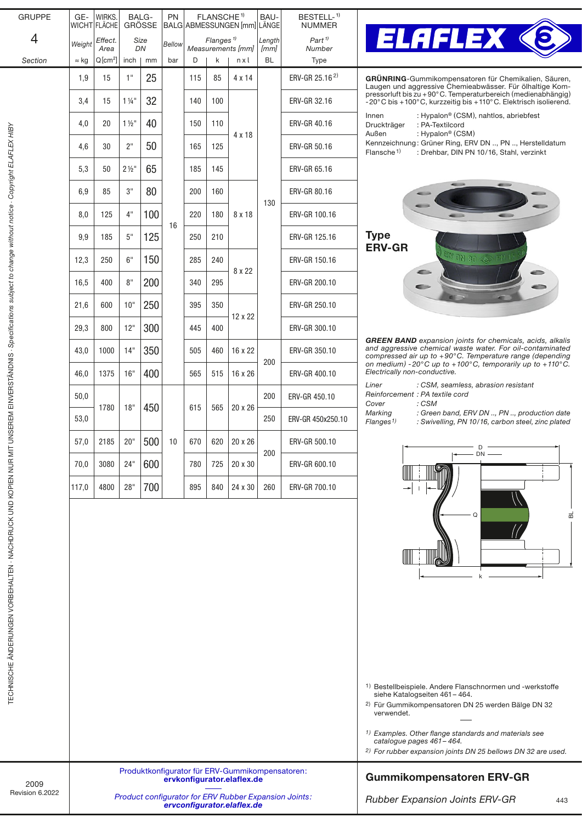| <b>GRUPPE</b>                                                                                     | GE-                                                                                 | WIRKS.<br>WICHT FLÄCHE       |                  | BALG-<br><b>GRÖSSE</b> | <b>PN</b>     | FLANSCHE <sup>1)</sup><br>BALG ABMESSUNGEN [mm] LÄNGE |                  | BAU-                                            | BESTELL- <sup>1)</sup><br><b>NUMMER</b> |                                        |                                                                                                                                                                                                                                                                                 |  |  |  |  |  |  |  |
|---------------------------------------------------------------------------------------------------|-------------------------------------------------------------------------------------|------------------------------|------------------|------------------------|---------------|-------------------------------------------------------|------------------|-------------------------------------------------|-----------------------------------------|----------------------------------------|---------------------------------------------------------------------------------------------------------------------------------------------------------------------------------------------------------------------------------------------------------------------------------|--|--|--|--|--|--|--|
| 4<br>Section                                                                                      | Weight<br>$\approx$ kg                                                              | Effect.<br>Area<br>$Q[cm^2]$ | inch             | Size<br>DN<br>mm       | Bellow<br>bar | D                                                     | Flanges $1$<br>k | Measurements [mm]<br>nxl                        | Length<br>[mm]<br>BL                    | $Part$ <sup>1)</sup><br>Number<br>Type | <b>ELAFLEX &lt;</b><br>$\mathbf{O}$                                                                                                                                                                                                                                             |  |  |  |  |  |  |  |
|                                                                                                   | 1,9                                                                                 | 15                           | 1"               | 25                     |               | 115                                                   | 85               | 4 x 14                                          |                                         | ERV-GR 25.16 <sup>2)</sup>             | GRÜNRING-Gummikompensatoren für Chemikalien, Säuren,                                                                                                                                                                                                                            |  |  |  |  |  |  |  |
|                                                                                                   | 3,4                                                                                 | 15                           | $1\frac{1}{4}$   | 32                     |               | 140                                                   | 100              |                                                 |                                         | ERV-GR 32.16                           | Laugen und aggressive Chemieabwässer. Für ölhaltige Kom-<br>pressorluft bis zu +90°C. Temperaturbereich (medienabhängig)<br>-20°C bis +100°C, kurzzeitig bis +110°C. Elektrisch isolierend.                                                                                     |  |  |  |  |  |  |  |
|                                                                                                   | 4,0                                                                                 | 20                           | $1\frac{1}{2}$   | 40                     |               | 150                                                   | 110              |                                                 |                                         | ERV-GR 40.16                           | Innen<br>: Hypalon <sup>®</sup> (CSM), nahtlos, abriebfest<br>: PA-Textilcord<br>Druckträger                                                                                                                                                                                    |  |  |  |  |  |  |  |
|                                                                                                   | 4,6                                                                                 | 30                           | 2"               | 50                     |               | 165                                                   | 125              | 4 x 18                                          |                                         | ERV-GR 50.16                           | : Hypalon <sup>®</sup> (CSM)<br>Außen<br>Kennzeichnung: Grüner Ring, ERV DN , PN , Herstelldatum<br>Flansche <sup>1)</sup><br>: Drehbar, DIN PN 10/16, Stahl, verzinkt                                                                                                          |  |  |  |  |  |  |  |
|                                                                                                   | 5,3                                                                                 | 50                           | $2\frac{1}{2}$ " | 65                     |               | 185                                                   | 145              |                                                 |                                         | ERV-GR 65.16                           |                                                                                                                                                                                                                                                                                 |  |  |  |  |  |  |  |
|                                                                                                   | 6,9                                                                                 | 85                           | 3"               | 80                     |               | 200                                                   | 160              |                                                 |                                         | ERV-GR 80.16                           |                                                                                                                                                                                                                                                                                 |  |  |  |  |  |  |  |
|                                                                                                   | 8,0                                                                                 | 125                          | 4"               | 100                    |               | 220                                                   | 180              | 8 x 18                                          | 130                                     | ERV-GR 100.16                          |                                                                                                                                                                                                                                                                                 |  |  |  |  |  |  |  |
|                                                                                                   | 9,9                                                                                 | 185                          | $5"$             | 125                    | 16            | 250                                                   | 210              |                                                 |                                         | ERV-GR 125.16                          | <b>Type</b><br><b>ERV-GR</b>                                                                                                                                                                                                                                                    |  |  |  |  |  |  |  |
|                                                                                                   | 12,3                                                                                | 250                          | 6"               | 150                    |               | 285                                                   | 240              |                                                 |                                         | ERV-GR 150.16                          | <b>ERV ON 80 3 PM 16</b>                                                                                                                                                                                                                                                        |  |  |  |  |  |  |  |
|                                                                                                   | 16,5                                                                                | 400                          | 8"               | 200                    |               | 340                                                   | 295              | 8 x 22                                          |                                         | ERV-GR 200.10                          | c                                                                                                                                                                                                                                                                               |  |  |  |  |  |  |  |
|                                                                                                   | 21,6                                                                                | 600                          | 10"              | 250                    |               | 395                                                   | 350              |                                                 |                                         | ERV-GR 250.10                          |                                                                                                                                                                                                                                                                                 |  |  |  |  |  |  |  |
|                                                                                                   | 29,3                                                                                | 800                          | 12"              | 300                    |               | 445                                                   | 400              | 12 x 22                                         |                                         | ERV-GR 300.10                          | <b>GREEN BAND</b> expansion joints for chemicals, acids, alkalis                                                                                                                                                                                                                |  |  |  |  |  |  |  |
|                                                                                                   | 43,0                                                                                | 1000                         | 14"              | 350                    |               | 505                                                   | 460              | 16 x 22                                         | 200                                     | ERV-GR 350.10                          | and aggressive chemical waste water. For oil-contaminated<br>compressed air up to $+90^{\circ}$ C. Temperature range (depending                                                                                                                                                 |  |  |  |  |  |  |  |
| UNSEREM EINVERSTÄNDNIS - Specifications subject to change without notice - Copyright ELAFLEX HIBY | 46,0                                                                                | 1375                         | 16"              | 400                    |               | 565                                                   | 515              | 16 x 26                                         |                                         | ERV-GR 400.10                          | on medium) -20°C up to +100°C, temporarily up to +110°C.<br>Electrically non-conductive.                                                                                                                                                                                        |  |  |  |  |  |  |  |
|                                                                                                   | 50,0                                                                                | 1780                         | 18"              | 450                    |               | 615                                                   | 565              | 20 x 26                                         | 200                                     | ERV-GR 450.10                          | Liner<br>: CSM, seamless, abrasion resistant<br>Reinforcement : PA textile cord<br>: CSM<br>Cover                                                                                                                                                                               |  |  |  |  |  |  |  |
|                                                                                                   | 53,0                                                                                |                              |                  |                        |               |                                                       |                  |                                                 | 250                                     | ERV-GR 450x250.10                      | Marking<br>: Green band, ERV DN , PN , production date<br>Flanges <sup>1)</sup><br>: Swivelling, PN 10/16, carbon steel, zinc plated                                                                                                                                            |  |  |  |  |  |  |  |
|                                                                                                   | 57,0                                                                                | 2185                         | 20"              | 500                    | 10            | 670                                                   | 620              | 20 x 26                                         | 200                                     | ERV-GR 500.10                          | D                                                                                                                                                                                                                                                                               |  |  |  |  |  |  |  |
|                                                                                                   | 70,0                                                                                | 3080                         | 24"              | 600                    |               | 780                                                   | 725              | 20 x 30                                         |                                         | ERV-GR 600.10                          | $DN -$                                                                                                                                                                                                                                                                          |  |  |  |  |  |  |  |
|                                                                                                   | 117,0                                                                               | 4800                         | 28"              | 700                    |               | 895                                                   | 840              | 24 x 30                                         | 260                                     | ERV-GR 700.10                          |                                                                                                                                                                                                                                                                                 |  |  |  |  |  |  |  |
| TECHNISCHE ÄNDERUNGEN VORBEHALTEN · NACHDRUCK UND KOPIEN NUR MIT                                  |                                                                                     |                              |                  |                        |               |                                                       |                  |                                                 |                                         |                                        | Q<br><sup>1)</sup> Bestellbeispiele. Andere Flanschnormen und -werkstoffe                                                                                                                                                                                                       |  |  |  |  |  |  |  |
|                                                                                                   |                                                                                     |                              |                  |                        |               |                                                       |                  |                                                 |                                         |                                        | siehe Katalogseiten 461 – 464.<br><sup>2)</sup> Für Gummikompensatoren DN 25 werden Bälge DN 32<br>verwendet.<br>1) Examples. Other flange standards and materials see<br>catalogue pages 461 - 464.<br><sup>2)</sup> For rubber expansion joints DN 25 bellows DN 32 are used. |  |  |  |  |  |  |  |
|                                                                                                   |                                                                                     |                              |                  |                        |               |                                                       |                  | Produktkonfigurator für ERV-Gummikompensatoren: | <b>Gummikompensatoren ERV-GR</b>        |                                        |                                                                                                                                                                                                                                                                                 |  |  |  |  |  |  |  |
| 2009<br>Revision 6.2022                                                                           | ervkonfigurator.elaflex.de<br>Product configurator for ERV Rubber Expansion Joints: |                              |                  |                        |               |                                                       |                  |                                                 |                                         |                                        | <b>Rubber Expansion Joints ERV-GR</b><br>443                                                                                                                                                                                                                                    |  |  |  |  |  |  |  |
|                                                                                                   |                                                                                     |                              |                  |                        |               |                                                       |                  | ervconfigurator.elaflex.de                      |                                         |                                        |                                                                                                                                                                                                                                                                                 |  |  |  |  |  |  |  |